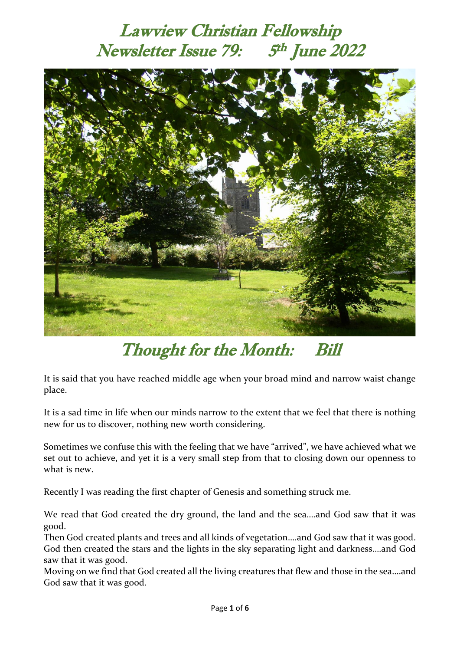#### Lawview Christian Fellowship Newsletter Issue 79: <sup>th</sup> June 2022



### Thought for the Month: Bill

It is said that you have reached middle age when your broad mind and narrow waist change place.

It is a sad time in life when our minds narrow to the extent that we feel that there is nothing new for us to discover, nothing new worth considering.

Sometimes we confuse this with the feeling that we have "arrived", we have achieved what we set out to achieve, and yet it is a very small step from that to closing down our openness to what is new.

Recently I was reading the first chapter of Genesis and something struck me.

We read that God created the dry ground, the land and the sea….and God saw that it was good.

Then God created plants and trees and all kinds of vegetation….and God saw that it was good. God then created the stars and the lights in the sky separating light and darkness….and God saw that it was good.

Moving on we find that God created all the living creatures that flew and those in the sea….and God saw that it was good.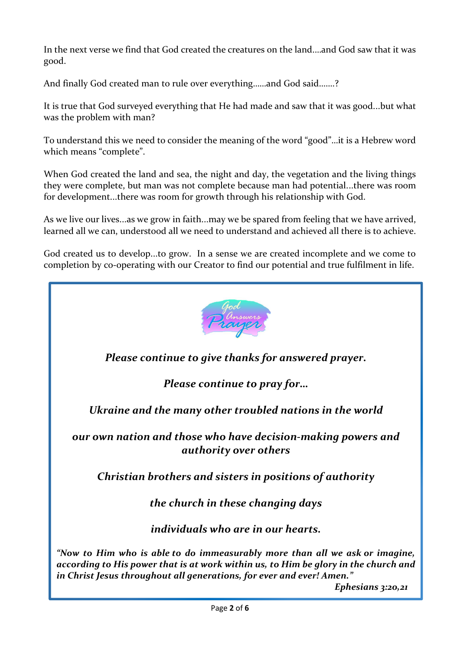In the next verse we find that God created the creatures on the land.…and God saw that it was good.

And finally God created man to rule over everything……and God said…….?

It is true that God surveyed everything that He had made and saw that it was good...but what was the problem with man?

To understand this we need to consider the meaning of the word "good"…it is a Hebrew word which means "complete".

When God created the land and sea, the night and day, the vegetation and the living things they were complete, but man was not complete because man had potential...there was room for development...there was room for growth through his relationship with God.

As we live our lives...as we grow in faith...may we be spared from feeling that we have arrived, learned all we can, understood all we need to understand and achieved all there is to achieve.

God created us to develop...to grow. In a sense we are created incomplete and we come to completion by co-operating with our Creator to find our potential and true fulfilment in life.

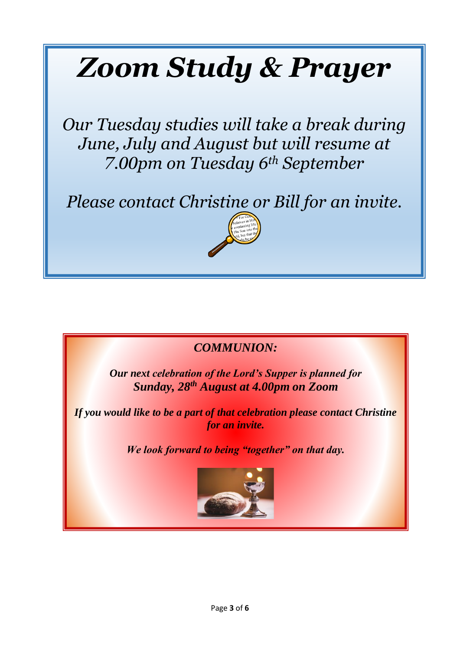# *Zoom Study & Prayer*

*Our Tuesday studies will take a break during June, July and August but will resume at 7.00pm on Tuesday 6th September*

*Please contact Christine or Bill for an invite.*





*Our next celebration of the Lord's Supper is planned for Sunday, 28 th August at 4.00pm on Zoom*

*If you would like to be a part of that celebration please contact Christine for an invite.*

*We look forward to being "together" on that day.*

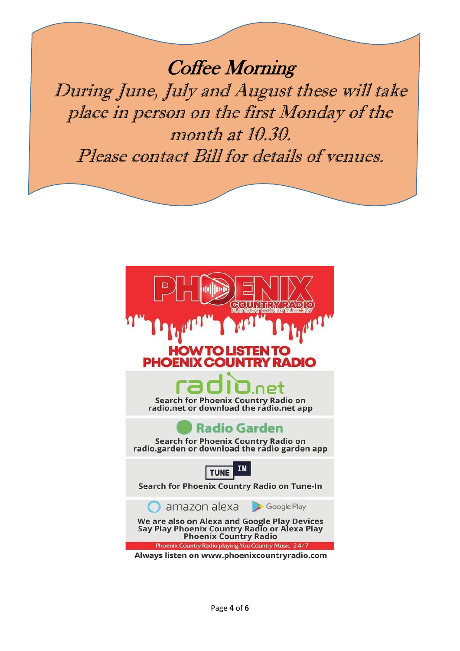Coffee Morning During June, July and August these will take place in person on the first Monday of the month at 10.30. Please contact Bill for details of venues.

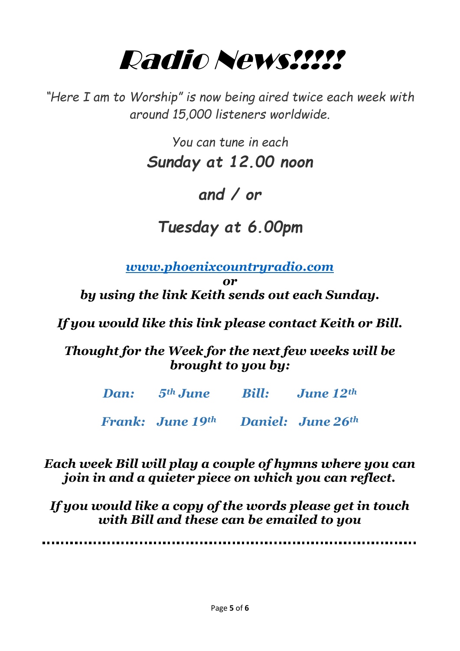## Radio News!!!!!

*"Here I am to Worship" is now being aired twice each week with around 15,000 listeners worldwide.*

> *You can tune in each Sunday at 12.00 noon*

### *and / or*

### *Tuesday at 6.00pm*

*[www.phoenixcountryradio.com](http://www.phoenixcountryradio.com/)*

*or by using the link Keith sends out each Sunday.*

*If you would like this link please contact Keith or Bill.*

*Thought for the Week for the next few weeks will be brought to you by:*

| <b>Dan:</b> 5 <sup>th</sup> June Bill: June 12 <sup>th</sup> |  |
|--------------------------------------------------------------|--|
| <b>Frank:</b> June 19th Daniel: June 26th                    |  |

*Each week Bill will play a couple of hymns where you can join in and a quieter piece on which you can reflect.*

*If you would like a copy of the words please get in touch with Bill and these can be emailed to you*